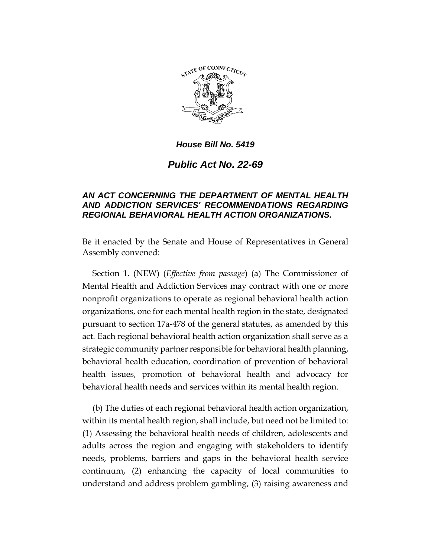

*Public Act No. 22-69*

## *AN ACT CONCERNING THE DEPARTMENT OF MENTAL HEALTH AND ADDICTION SERVICES' RECOMMENDATIONS REGARDING REGIONAL BEHAVIORAL HEALTH ACTION ORGANIZATIONS.*

Be it enacted by the Senate and House of Representatives in General Assembly convened:

Section 1. (NEW) (*Effective from passage*) (a) The Commissioner of Mental Health and Addiction Services may contract with one or more nonprofit organizations to operate as regional behavioral health action organizations, one for each mental health region in the state, designated pursuant to section 17a-478 of the general statutes, as amended by this act. Each regional behavioral health action organization shall serve as a strategic community partner responsible for behavioral health planning, behavioral health education, coordination of prevention of behavioral health issues, promotion of behavioral health and advocacy for behavioral health needs and services within its mental health region.

(b) The duties of each regional behavioral health action organization, within its mental health region, shall include, but need not be limited to: (1) Assessing the behavioral health needs of children, adolescents and adults across the region and engaging with stakeholders to identify needs, problems, barriers and gaps in the behavioral health service continuum, (2) enhancing the capacity of local communities to understand and address problem gambling, (3) raising awareness and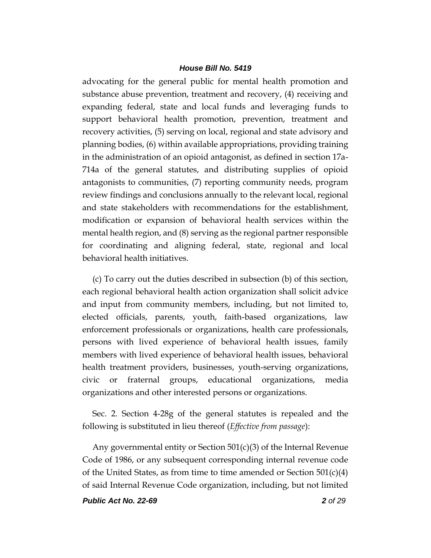advocating for the general public for mental health promotion and substance abuse prevention, treatment and recovery, (4) receiving and expanding federal, state and local funds and leveraging funds to support behavioral health promotion, prevention, treatment and recovery activities, (5) serving on local, regional and state advisory and planning bodies, (6) within available appropriations, providing training in the administration of an opioid antagonist, as defined in section 17a-714a of the general statutes, and distributing supplies of opioid antagonists to communities, (7) reporting community needs, program review findings and conclusions annually to the relevant local, regional and state stakeholders with recommendations for the establishment, modification or expansion of behavioral health services within the mental health region, and (8) serving as the regional partner responsible for coordinating and aligning federal, state, regional and local behavioral health initiatives.

(c) To carry out the duties described in subsection (b) of this section, each regional behavioral health action organization shall solicit advice and input from community members, including, but not limited to, elected officials, parents, youth, faith-based organizations, law enforcement professionals or organizations, health care professionals, persons with lived experience of behavioral health issues, family members with lived experience of behavioral health issues, behavioral health treatment providers, businesses, youth-serving organizations, civic or fraternal groups, educational organizations, media organizations and other interested persons or organizations.

Sec. 2. Section 4-28g of the general statutes is repealed and the following is substituted in lieu thereof (*Effective from passage*):

Any governmental entity or Section 501(c)(3) of the Internal Revenue Code of 1986, or any subsequent corresponding internal revenue code of the United States, as from time to time amended or Section  $501(c)(4)$ of said Internal Revenue Code organization, including, but not limited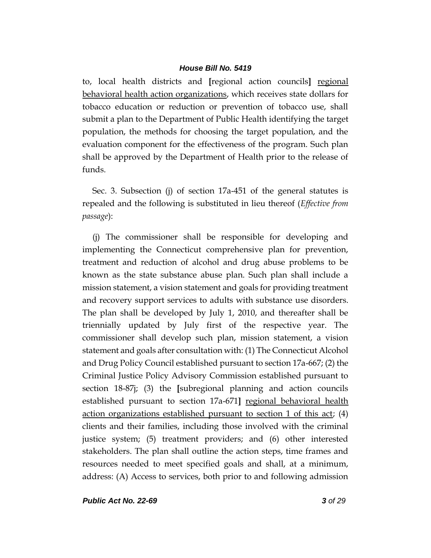to, local health districts and **[**regional action councils**]** regional behavioral health action organizations, which receives state dollars for tobacco education or reduction or prevention of tobacco use, shall submit a plan to the Department of Public Health identifying the target population, the methods for choosing the target population, and the evaluation component for the effectiveness of the program. Such plan shall be approved by the Department of Health prior to the release of funds.

Sec. 3. Subsection (j) of section 17a-451 of the general statutes is repealed and the following is substituted in lieu thereof (*Effective from passage*):

(j) The commissioner shall be responsible for developing and implementing the Connecticut comprehensive plan for prevention, treatment and reduction of alcohol and drug abuse problems to be known as the state substance abuse plan. Such plan shall include a mission statement, a vision statement and goals for providing treatment and recovery support services to adults with substance use disorders. The plan shall be developed by July 1, 2010, and thereafter shall be triennially updated by July first of the respective year. The commissioner shall develop such plan, mission statement, a vision statement and goals after consultation with: (1) The Connecticut Alcohol and Drug Policy Council established pursuant to section 17a-667; (2) the Criminal Justice Policy Advisory Commission established pursuant to section 18-87j; (3) the **[**subregional planning and action councils established pursuant to section 17a-671**]** regional behavioral health action organizations established pursuant to section 1 of this act; (4) clients and their families, including those involved with the criminal justice system; (5) treatment providers; and (6) other interested stakeholders. The plan shall outline the action steps, time frames and resources needed to meet specified goals and shall, at a minimum, address: (A) Access to services, both prior to and following admission

*Public Act No. 22-69 3 of 29*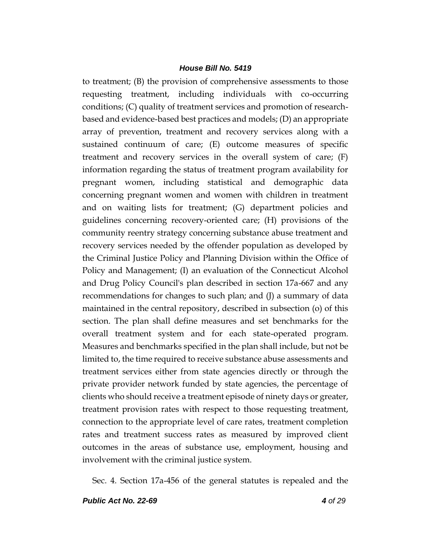to treatment; (B) the provision of comprehensive assessments to those requesting treatment, including individuals with co-occurring conditions; (C) quality of treatment services and promotion of researchbased and evidence-based best practices and models; (D) an appropriate array of prevention, treatment and recovery services along with a sustained continuum of care; (E) outcome measures of specific treatment and recovery services in the overall system of care;  $(F)$ information regarding the status of treatment program availability for pregnant women, including statistical and demographic data concerning pregnant women and women with children in treatment and on waiting lists for treatment; (G) department policies and guidelines concerning recovery-oriented care; (H) provisions of the community reentry strategy concerning substance abuse treatment and recovery services needed by the offender population as developed by the Criminal Justice Policy and Planning Division within the Office of Policy and Management; (I) an evaluation of the Connecticut Alcohol and Drug Policy Council's plan described in section 17a-667 and any recommendations for changes to such plan; and (J) a summary of data maintained in the central repository, described in subsection (o) of this section. The plan shall define measures and set benchmarks for the overall treatment system and for each state-operated program. Measures and benchmarks specified in the plan shall include, but not be limited to, the time required to receive substance abuse assessments and treatment services either from state agencies directly or through the private provider network funded by state agencies, the percentage of clients who should receive a treatment episode of ninety days or greater, treatment provision rates with respect to those requesting treatment, connection to the appropriate level of care rates, treatment completion rates and treatment success rates as measured by improved client outcomes in the areas of substance use, employment, housing and involvement with the criminal justice system.

Sec. 4. Section 17a-456 of the general statutes is repealed and the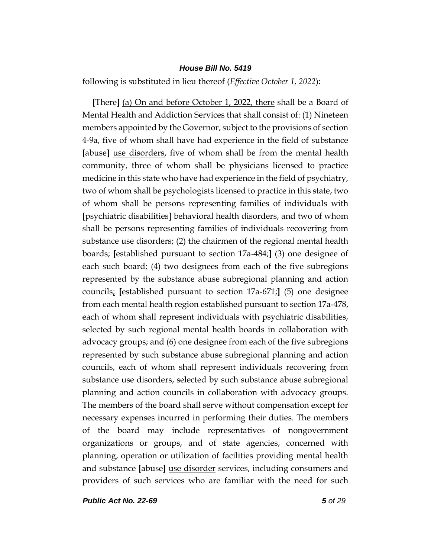following is substituted in lieu thereof (*Effective October 1, 2022*):

**[**There**]** (a) On and before October 1, 2022, there shall be a Board of Mental Health and Addiction Services that shall consist of: (1) Nineteen members appointed by the Governor, subject to the provisions of section 4-9a, five of whom shall have had experience in the field of substance **[**abuse**]** use disorders, five of whom shall be from the mental health community, three of whom shall be physicians licensed to practice medicine in this state who have had experience in the field of psychiatry, two of whom shall be psychologists licensed to practice in this state, two of whom shall be persons representing families of individuals with **[**psychiatric disabilities**]** behavioral health disorders, and two of whom shall be persons representing families of individuals recovering from substance use disorders; (2) the chairmen of the regional mental health boards; **[**established pursuant to section 17a-484;**]** (3) one designee of each such board; (4) two designees from each of the five subregions represented by the substance abuse subregional planning and action councils; **[**established pursuant to section 17a-671;**]** (5) one designee from each mental health region established pursuant to section 17a-478, each of whom shall represent individuals with psychiatric disabilities, selected by such regional mental health boards in collaboration with advocacy groups; and (6) one designee from each of the five subregions represented by such substance abuse subregional planning and action councils, each of whom shall represent individuals recovering from substance use disorders, selected by such substance abuse subregional planning and action councils in collaboration with advocacy groups. The members of the board shall serve without compensation except for necessary expenses incurred in performing their duties. The members of the board may include representatives of nongovernment organizations or groups, and of state agencies, concerned with planning, operation or utilization of facilities providing mental health and substance **[**abuse**]** use disorder services, including consumers and providers of such services who are familiar with the need for such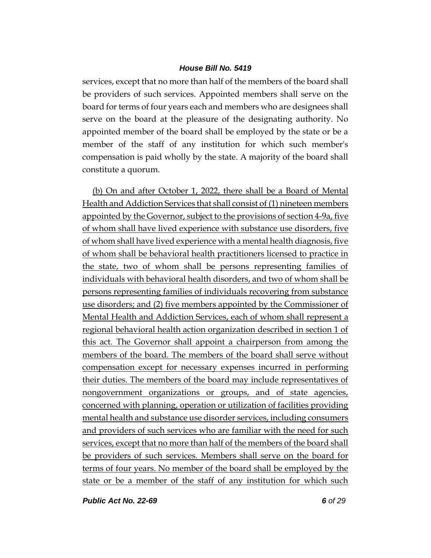services, except that no more than half of the members of the board shall be providers of such services. Appointed members shall serve on the board for terms of four years each and members who are designees shall serve on the board at the pleasure of the designating authority. No appointed member of the board shall be employed by the state or be a member of the staff of any institution for which such member's compensation is paid wholly by the state. A majority of the board shall constitute a quorum.

(b) On and after October 1, 2022, there shall be a Board of Mental Health and Addiction Services that shall consist of (1) nineteen members appointed by the Governor, subject to the provisions of section 4-9a, five of whom shall have lived experience with substance use disorders, five of whom shall have lived experience with a mental health diagnosis, five of whom shall be behavioral health practitioners licensed to practice in the state, two of whom shall be persons representing families of individuals with behavioral health disorders, and two of whom shall be persons representing families of individuals recovering from substance use disorders; and (2) five members appointed by the Commissioner of Mental Health and Addiction Services, each of whom shall represent a regional behavioral health action organization described in section 1 of this act. The Governor shall appoint a chairperson from among the members of the board. The members of the board shall serve without compensation except for necessary expenses incurred in performing their duties. The members of the board may include representatives of nongovernment organizations or groups, and of state agencies, concerned with planning, operation or utilization of facilities providing mental health and substance use disorder services, including consumers and providers of such services who are familiar with the need for such services, except that no more than half of the members of the board shall be providers of such services. Members shall serve on the board for terms of four years. No member of the board shall be employed by the state or be a member of the staff of any institution for which such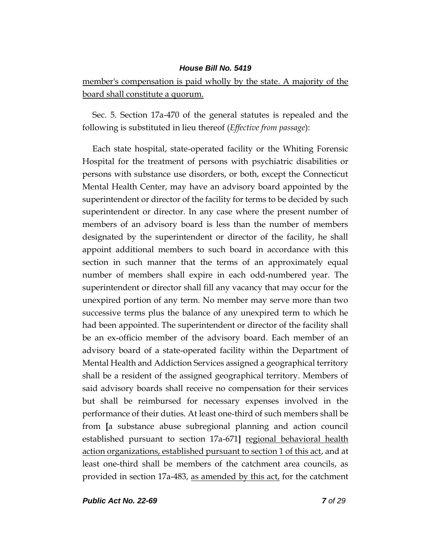member's compensation is paid wholly by the state. A majority of the board shall constitute a quorum.

Sec. 5. Section 17a-470 of the general statutes is repealed and the following is substituted in lieu thereof (*Effective from passage*):

Each state hospital, state-operated facility or the Whiting Forensic Hospital for the treatment of persons with psychiatric disabilities or persons with substance use disorders, or both, except the Connecticut Mental Health Center, may have an advisory board appointed by the superintendent or director of the facility for terms to be decided by such superintendent or director. In any case where the present number of members of an advisory board is less than the number of members designated by the superintendent or director of the facility, he shall appoint additional members to such board in accordance with this section in such manner that the terms of an approximately equal number of members shall expire in each odd-numbered year. The superintendent or director shall fill any vacancy that may occur for the unexpired portion of any term. No member may serve more than two successive terms plus the balance of any unexpired term to which he had been appointed. The superintendent or director of the facility shall be an ex-officio member of the advisory board. Each member of an advisory board of a state-operated facility within the Department of Mental Health and Addiction Services assigned a geographical territory shall be a resident of the assigned geographical territory. Members of said advisory boards shall receive no compensation for their services but shall be reimbursed for necessary expenses involved in the performance of their duties. At least one-third of such members shall be from **[**a substance abuse subregional planning and action council established pursuant to section 17a-671**]** regional behavioral health action organizations, established pursuant to section 1 of this act, and at least one-third shall be members of the catchment area councils, as provided in section 17a-483, as amended by this act, for the catchment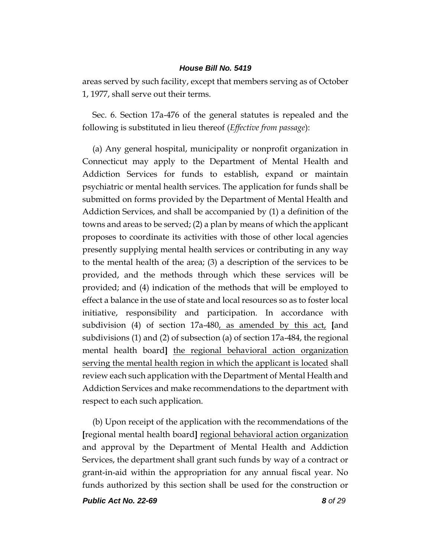areas served by such facility, except that members serving as of October 1, 1977, shall serve out their terms.

Sec. 6. Section 17a-476 of the general statutes is repealed and the following is substituted in lieu thereof (*Effective from passage*):

(a) Any general hospital, municipality or nonprofit organization in Connecticut may apply to the Department of Mental Health and Addiction Services for funds to establish, expand or maintain psychiatric or mental health services. The application for funds shall be submitted on forms provided by the Department of Mental Health and Addiction Services, and shall be accompanied by (1) a definition of the towns and areas to be served; (2) a plan by means of which the applicant proposes to coordinate its activities with those of other local agencies presently supplying mental health services or contributing in any way to the mental health of the area; (3) a description of the services to be provided, and the methods through which these services will be provided; and (4) indication of the methods that will be employed to effect a balance in the use of state and local resources so as to foster local initiative, responsibility and participation. In accordance with subdivision (4) of section 17a-480, as amended by this act, **[**and subdivisions (1) and (2) of subsection (a) of section 17a-484, the regional mental health board**]** the regional behavioral action organization serving the mental health region in which the applicant is located shall review each such application with the Department of Mental Health and Addiction Services and make recommendations to the department with respect to each such application.

(b) Upon receipt of the application with the recommendations of the **[**regional mental health board**]** regional behavioral action organization and approval by the Department of Mental Health and Addiction Services, the department shall grant such funds by way of a contract or grant-in-aid within the appropriation for any annual fiscal year. No funds authorized by this section shall be used for the construction or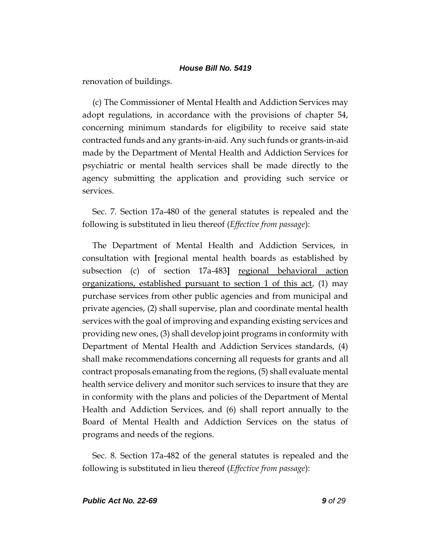renovation of buildings.

(c) The Commissioner of Mental Health and Addiction Services may adopt regulations, in accordance with the provisions of chapter 54, concerning minimum standards for eligibility to receive said state contracted funds and any grants-in-aid. Any such funds or grants-in-aid made by the Department of Mental Health and Addiction Services for psychiatric or mental health services shall be made directly to the agency submitting the application and providing such service or services.

Sec. 7. Section 17a-480 of the general statutes is repealed and the following is substituted in lieu thereof (*Effective from passage*):

The Department of Mental Health and Addiction Services, in consultation with **[**regional mental health boards as established by subsection (c) of section 17a-483] regional behavioral action organizations, established pursuant to section 1 of this act, (1) may purchase services from other public agencies and from municipal and private agencies, (2) shall supervise, plan and coordinate mental health services with the goal of improving and expanding existing services and providing new ones, (3) shall develop joint programs in conformity with Department of Mental Health and Addiction Services standards, (4) shall make recommendations concerning all requests for grants and all contract proposals emanating from the regions, (5) shall evaluate mental health service delivery and monitor such services to insure that they are in conformity with the plans and policies of the Department of Mental Health and Addiction Services, and (6) shall report annually to the Board of Mental Health and Addiction Services on the status of programs and needs of the regions.

Sec. 8. Section 17a-482 of the general statutes is repealed and the following is substituted in lieu thereof (*Effective from passage*):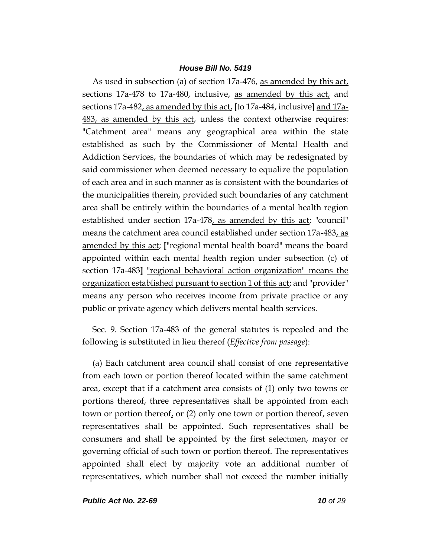As used in subsection (a) of section 17a-476, as amended by this act, sections 17a-478 to 17a-480, inclusive, as amended by this act, and sections 17a-482, as amended by this act, **[**to 17a-484, inclusive**]** and 17a-483, as amended by this act, unless the context otherwise requires: "Catchment area" means any geographical area within the state established as such by the Commissioner of Mental Health and Addiction Services, the boundaries of which may be redesignated by said commissioner when deemed necessary to equalize the population of each area and in such manner as is consistent with the boundaries of the municipalities therein, provided such boundaries of any catchment area shall be entirely within the boundaries of a mental health region established under section 17a-478, as amended by this act; "council" means the catchment area council established under section 17a-483, as amended by this act; **[**"regional mental health board" means the board appointed within each mental health region under subsection (c) of section 17a-483**]** "regional behavioral action organization" means the organization established pursuant to section 1 of this act; and "provider" means any person who receives income from private practice or any public or private agency which delivers mental health services.

Sec. 9. Section 17a-483 of the general statutes is repealed and the following is substituted in lieu thereof (*Effective from passage*):

(a) Each catchment area council shall consist of one representative from each town or portion thereof located within the same catchment area, except that if a catchment area consists of (1) only two towns or portions thereof, three representatives shall be appointed from each town or portion thereof, or (2) only one town or portion thereof, seven representatives shall be appointed. Such representatives shall be consumers and shall be appointed by the first selectmen, mayor or governing official of such town or portion thereof. The representatives appointed shall elect by majority vote an additional number of representatives, which number shall not exceed the number initially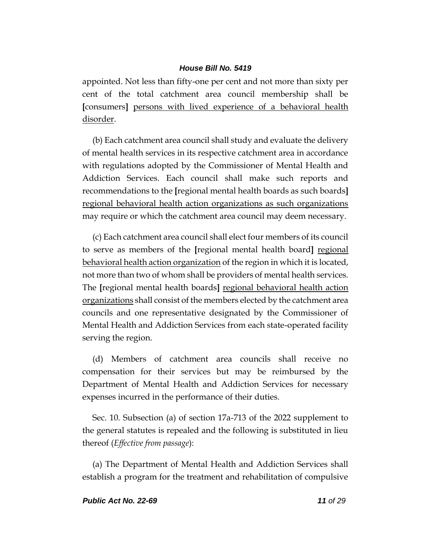appointed. Not less than fifty-one per cent and not more than sixty per cent of the total catchment area council membership shall be **[**consumers**]** persons with lived experience of a behavioral health disorder.

(b) Each catchment area council shall study and evaluate the delivery of mental health services in its respective catchment area in accordance with regulations adopted by the Commissioner of Mental Health and Addiction Services. Each council shall make such reports and recommendations to the **[**regional mental health boards as such boards**]** regional behavioral health action organizations as such organizations may require or which the catchment area council may deem necessary.

(c) Each catchment area council shall elect four members of its council to serve as members of the **[**regional mental health board**]** regional behavioral health action organization of the region in which it is located, not more than two of whom shall be providers of mental health services. The **[**regional mental health boards**]** regional behavioral health action organizations shall consist of the members elected by the catchment area councils and one representative designated by the Commissioner of Mental Health and Addiction Services from each state-operated facility serving the region.

(d) Members of catchment area councils shall receive no compensation for their services but may be reimbursed by the Department of Mental Health and Addiction Services for necessary expenses incurred in the performance of their duties.

Sec. 10. Subsection (a) of section 17a-713 of the 2022 supplement to the general statutes is repealed and the following is substituted in lieu thereof (*Effective from passage*):

(a) The Department of Mental Health and Addiction Services shall establish a program for the treatment and rehabilitation of compulsive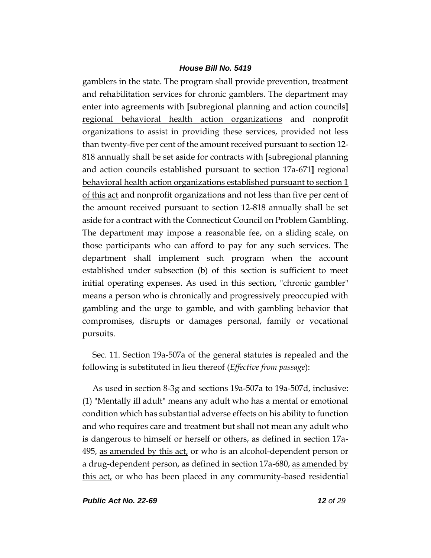gamblers in the state. The program shall provide prevention, treatment and rehabilitation services for chronic gamblers. The department may enter into agreements with **[**subregional planning and action councils**]** regional behavioral health action organizations and nonprofit organizations to assist in providing these services, provided not less than twenty-five per cent of the amount received pursuant to section 12- 818 annually shall be set aside for contracts with **[**subregional planning and action councils established pursuant to section 17a-671**]** regional behavioral health action organizations established pursuant to section 1 of this act and nonprofit organizations and not less than five per cent of the amount received pursuant to section 12-818 annually shall be set aside for a contract with the Connecticut Council on Problem Gambling. The department may impose a reasonable fee, on a sliding scale, on those participants who can afford to pay for any such services. The department shall implement such program when the account established under subsection (b) of this section is sufficient to meet initial operating expenses. As used in this section, "chronic gambler" means a person who is chronically and progressively preoccupied with gambling and the urge to gamble, and with gambling behavior that compromises, disrupts or damages personal, family or vocational pursuits.

Sec. 11. Section 19a-507a of the general statutes is repealed and the following is substituted in lieu thereof (*Effective from passage*):

As used in section 8-3g and sections 19a-507a to 19a-507d, inclusive: (1) "Mentally ill adult" means any adult who has a mental or emotional condition which has substantial adverse effects on his ability to function and who requires care and treatment but shall not mean any adult who is dangerous to himself or herself or others, as defined in section 17a-495, as amended by this act, or who is an alcohol-dependent person or a drug-dependent person, as defined in section 17a-680, as amended by this act, or who has been placed in any community-based residential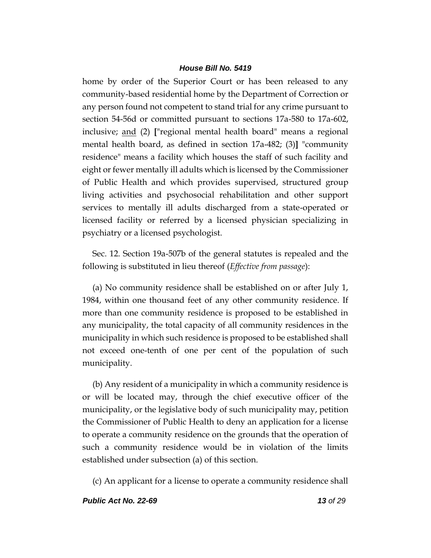home by order of the Superior Court or has been released to any community-based residential home by the Department of Correction or any person found not competent to stand trial for any crime pursuant to section 54-56d or committed pursuant to sections 17a-580 to 17a-602, inclusive; and (2) **[**"regional mental health board" means a regional mental health board, as defined in section 17a-482; (3)**]** "community residence" means a facility which houses the staff of such facility and eight or fewer mentally ill adults which is licensed by the Commissioner of Public Health and which provides supervised, structured group living activities and psychosocial rehabilitation and other support services to mentally ill adults discharged from a state-operated or licensed facility or referred by a licensed physician specializing in psychiatry or a licensed psychologist.

Sec. 12. Section 19a-507b of the general statutes is repealed and the following is substituted in lieu thereof (*Effective from passage*):

(a) No community residence shall be established on or after July 1, 1984, within one thousand feet of any other community residence. If more than one community residence is proposed to be established in any municipality, the total capacity of all community residences in the municipality in which such residence is proposed to be established shall not exceed one-tenth of one per cent of the population of such municipality.

(b) Any resident of a municipality in which a community residence is or will be located may, through the chief executive officer of the municipality, or the legislative body of such municipality may, petition the Commissioner of Public Health to deny an application for a license to operate a community residence on the grounds that the operation of such a community residence would be in violation of the limits established under subsection (a) of this section.

(c) An applicant for a license to operate a community residence shall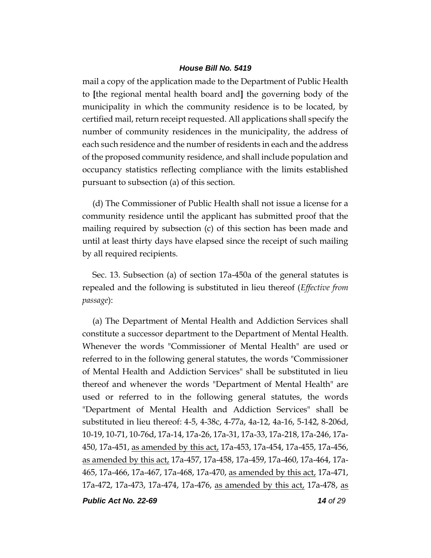mail a copy of the application made to the Department of Public Health to **[**the regional mental health board and**]** the governing body of the municipality in which the community residence is to be located, by certified mail, return receipt requested. All applications shall specify the number of community residences in the municipality, the address of each such residence and the number of residents in each and the address of the proposed community residence, and shall include population and occupancy statistics reflecting compliance with the limits established pursuant to subsection (a) of this section.

(d) The Commissioner of Public Health shall not issue a license for a community residence until the applicant has submitted proof that the mailing required by subsection (c) of this section has been made and until at least thirty days have elapsed since the receipt of such mailing by all required recipients.

Sec. 13. Subsection (a) of section 17a-450a of the general statutes is repealed and the following is substituted in lieu thereof (*Effective from passage*):

(a) The Department of Mental Health and Addiction Services shall constitute a successor department to the Department of Mental Health. Whenever the words "Commissioner of Mental Health" are used or referred to in the following general statutes, the words "Commissioner of Mental Health and Addiction Services" shall be substituted in lieu thereof and whenever the words "Department of Mental Health" are used or referred to in the following general statutes, the words "Department of Mental Health and Addiction Services" shall be substituted in lieu thereof: 4-5, 4-38c, 4-77a, 4a-12, 4a-16, 5-142, 8-206d, 10-19, 10-71, 10-76d, 17a-14, 17a-26, 17a-31, 17a-33, 17a-218, 17a-246, 17a-450, 17a-451, as amended by this act, 17a-453, 17a-454, 17a-455, 17a-456, as amended by this act, 17a-457, 17a-458, 17a-459, 17a-460, 17a-464, 17a-465, 17a-466, 17a-467, 17a-468, 17a-470, as amended by this act, 17a-471, 17a-472, 17a-473, 17a-474, 17a-476, as amended by this act, 17a-478, as

*Public Act No. 22-69 14 of 29*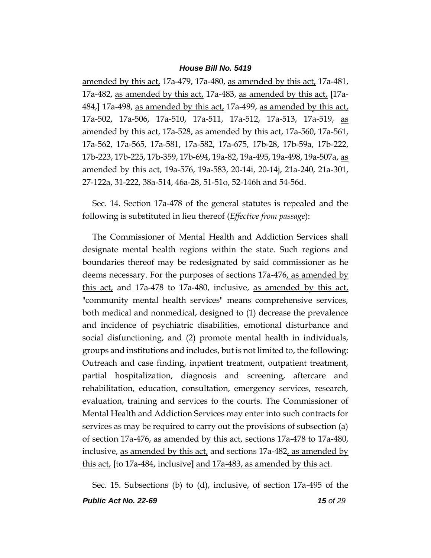amended by this act, 17a-479, 17a-480, as amended by this act, 17a-481, 17a-482, as amended by this act, 17a-483, as amended by this act, **[**17a-484,**]** 17a-498, as amended by this act, 17a-499, as amended by this act, 17a-502, 17a-506, 17a-510, 17a-511, 17a-512, 17a-513, 17a-519, as amended by this act, 17a-528, as amended by this act, 17a-560, 17a-561, 17a-562, 17a-565, 17a-581, 17a-582, 17a-675, 17b-28, 17b-59a, 17b-222, 17b-223, 17b-225, 17b-359, 17b-694, 19a-82, 19a-495, 19a-498, 19a-507a, as amended by this act, 19a-576, 19a-583, 20-14i, 20-14j, 21a-240, 21a-301, 27-122a, 31-222, 38a-514, 46a-28, 51-51o, 52-146h and 54-56d.

Sec. 14. Section 17a-478 of the general statutes is repealed and the following is substituted in lieu thereof (*Effective from passage*):

The Commissioner of Mental Health and Addiction Services shall designate mental health regions within the state. Such regions and boundaries thereof may be redesignated by said commissioner as he deems necessary. For the purposes of sections 17a-476, as amended by this act, and 17a-478 to 17a-480, inclusive, as amended by this act, "community mental health services" means comprehensive services, both medical and nonmedical, designed to (1) decrease the prevalence and incidence of psychiatric disabilities, emotional disturbance and social disfunctioning, and (2) promote mental health in individuals, groups and institutions and includes, but is not limited to, the following: Outreach and case finding, inpatient treatment, outpatient treatment, partial hospitalization, diagnosis and screening, aftercare and rehabilitation, education, consultation, emergency services, research, evaluation, training and services to the courts. The Commissioner of Mental Health and Addiction Services may enter into such contracts for services as may be required to carry out the provisions of subsection (a) of section 17a-476, as amended by this act, sections 17a-478 to 17a-480, inclusive, as amended by this act, and sections 17a-482, as amended by this act, **[**to 17a-484, inclusive**]** and 17a-483, as amended by this act.

*Public Act No. 22-69 15 of 29* Sec. 15. Subsections (b) to (d), inclusive, of section 17a-495 of the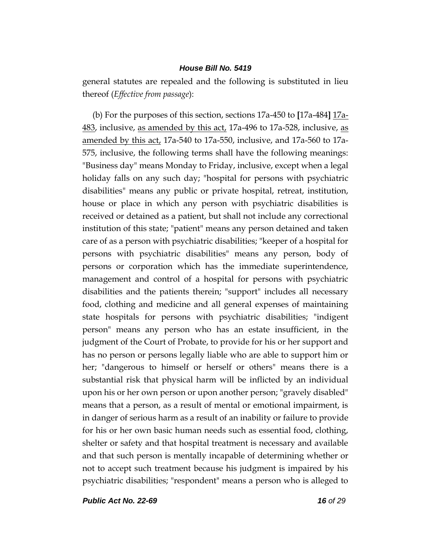general statutes are repealed and the following is substituted in lieu thereof (*Effective from passage*):

(b) For the purposes of this section, sections 17a-450 to **[**17a-484**]** 17a-483, inclusive, as amended by this act, 17a-496 to 17a-528, inclusive, as amended by this act, 17a-540 to 17a-550, inclusive, and 17a-560 to 17a-575, inclusive, the following terms shall have the following meanings: "Business day" means Monday to Friday, inclusive, except when a legal holiday falls on any such day; "hospital for persons with psychiatric disabilities" means any public or private hospital, retreat, institution, house or place in which any person with psychiatric disabilities is received or detained as a patient, but shall not include any correctional institution of this state; "patient" means any person detained and taken care of as a person with psychiatric disabilities; "keeper of a hospital for persons with psychiatric disabilities" means any person, body of persons or corporation which has the immediate superintendence, management and control of a hospital for persons with psychiatric disabilities and the patients therein; "support" includes all necessary food, clothing and medicine and all general expenses of maintaining state hospitals for persons with psychiatric disabilities; "indigent person" means any person who has an estate insufficient, in the judgment of the Court of Probate, to provide for his or her support and has no person or persons legally liable who are able to support him or her; "dangerous to himself or herself or others" means there is a substantial risk that physical harm will be inflicted by an individual upon his or her own person or upon another person; "gravely disabled" means that a person, as a result of mental or emotional impairment, is in danger of serious harm as a result of an inability or failure to provide for his or her own basic human needs such as essential food, clothing, shelter or safety and that hospital treatment is necessary and available and that such person is mentally incapable of determining whether or not to accept such treatment because his judgment is impaired by his psychiatric disabilities; "respondent" means a person who is alleged to

*Public Act No. 22-69 16 of 29*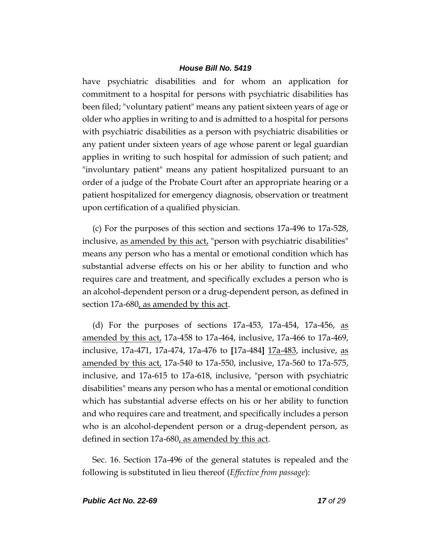have psychiatric disabilities and for whom an application for commitment to a hospital for persons with psychiatric disabilities has been filed; "voluntary patient" means any patient sixteen years of age or older who applies in writing to and is admitted to a hospital for persons with psychiatric disabilities as a person with psychiatric disabilities or any patient under sixteen years of age whose parent or legal guardian applies in writing to such hospital for admission of such patient; and "involuntary patient" means any patient hospitalized pursuant to an order of a judge of the Probate Court after an appropriate hearing or a patient hospitalized for emergency diagnosis, observation or treatment upon certification of a qualified physician.

(c) For the purposes of this section and sections 17a-496 to 17a-528, inclusive, <u>as amended by this act</u>, "person with psychiatric disabilities" means any person who has a mental or emotional condition which has substantial adverse effects on his or her ability to function and who requires care and treatment, and specifically excludes a person who is an alcohol-dependent person or a drug-dependent person, as defined in section 17a-680, as amended by this act.

(d) For the purposes of sections 17a-453, 17a-454, 17a-456, as amended by this act, 17a-458 to 17a-464, inclusive, 17a-466 to 17a-469, inclusive, 17a-471, 17a-474, 17a-476 to **[**17a-484**]** 17a-483, inclusive, as amended by this act, 17a-540 to 17a-550, inclusive, 17a-560 to 17a-575, inclusive, and 17a-615 to 17a-618, inclusive, "person with psychiatric disabilities" means any person who has a mental or emotional condition which has substantial adverse effects on his or her ability to function and who requires care and treatment, and specifically includes a person who is an alcohol-dependent person or a drug-dependent person, as defined in section 17a-680, as amended by this act.

Sec. 16. Section 17a-496 of the general statutes is repealed and the following is substituted in lieu thereof (*Effective from passage*):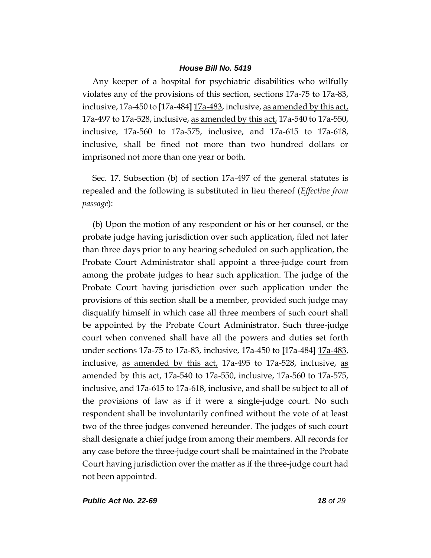Any keeper of a hospital for psychiatric disabilities who wilfully violates any of the provisions of this section, sections 17a-75 to 17a-83, inclusive, 17a-450 to **[**17a-484**]** 17a-483, inclusive, as amended by this act, 17a-497 to 17a-528, inclusive, as amended by this act, 17a-540 to 17a-550, inclusive, 17a-560 to 17a-575, inclusive, and 17a-615 to 17a-618, inclusive, shall be fined not more than two hundred dollars or imprisoned not more than one year or both.

Sec. 17. Subsection (b) of section 17a-497 of the general statutes is repealed and the following is substituted in lieu thereof (*Effective from passage*):

(b) Upon the motion of any respondent or his or her counsel, or the probate judge having jurisdiction over such application, filed not later than three days prior to any hearing scheduled on such application, the Probate Court Administrator shall appoint a three-judge court from among the probate judges to hear such application. The judge of the Probate Court having jurisdiction over such application under the provisions of this section shall be a member, provided such judge may disqualify himself in which case all three members of such court shall be appointed by the Probate Court Administrator. Such three-judge court when convened shall have all the powers and duties set forth under sections 17a-75 to 17a-83, inclusive, 17a-450 to **[**17a-484**]** 17a-483, inclusive, as amended by this act, 17a-495 to 17a-528, inclusive, as amended by this act, 17a-540 to 17a-550, inclusive, 17a-560 to 17a-575, inclusive, and 17a-615 to 17a-618, inclusive, and shall be subject to all of the provisions of law as if it were a single-judge court. No such respondent shall be involuntarily confined without the vote of at least two of the three judges convened hereunder. The judges of such court shall designate a chief judge from among their members. All records for any case before the three-judge court shall be maintained in the Probate Court having jurisdiction over the matter as if the three-judge court had not been appointed.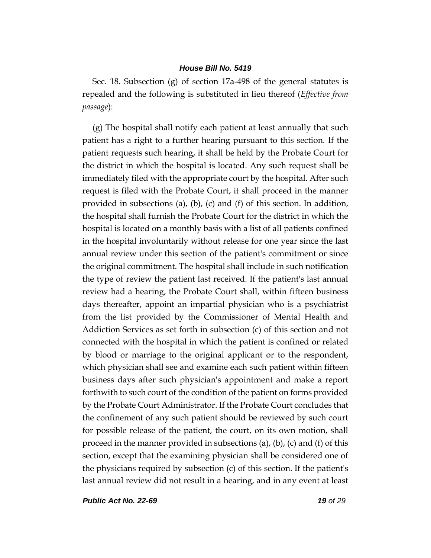Sec. 18. Subsection (g) of section 17a-498 of the general statutes is repealed and the following is substituted in lieu thereof (*Effective from passage*):

(g) The hospital shall notify each patient at least annually that such patient has a right to a further hearing pursuant to this section. If the patient requests such hearing, it shall be held by the Probate Court for the district in which the hospital is located. Any such request shall be immediately filed with the appropriate court by the hospital. After such request is filed with the Probate Court, it shall proceed in the manner provided in subsections (a), (b), (c) and (f) of this section. In addition, the hospital shall furnish the Probate Court for the district in which the hospital is located on a monthly basis with a list of all patients confined in the hospital involuntarily without release for one year since the last annual review under this section of the patient's commitment or since the original commitment. The hospital shall include in such notification the type of review the patient last received. If the patient's last annual review had a hearing, the Probate Court shall, within fifteen business days thereafter, appoint an impartial physician who is a psychiatrist from the list provided by the Commissioner of Mental Health and Addiction Services as set forth in subsection (c) of this section and not connected with the hospital in which the patient is confined or related by blood or marriage to the original applicant or to the respondent, which physician shall see and examine each such patient within fifteen business days after such physician's appointment and make a report forthwith to such court of the condition of the patient on forms provided by the Probate Court Administrator. If the Probate Court concludes that the confinement of any such patient should be reviewed by such court for possible release of the patient, the court, on its own motion, shall proceed in the manner provided in subsections (a), (b), (c) and (f) of this section, except that the examining physician shall be considered one of the physicians required by subsection (c) of this section. If the patient's last annual review did not result in a hearing, and in any event at least

*Public Act No. 22-69 19 of 29*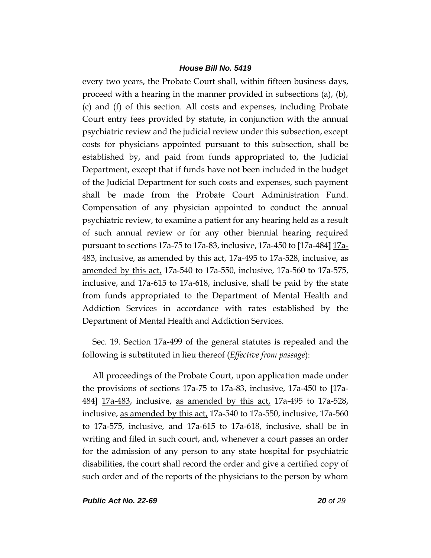every two years, the Probate Court shall, within fifteen business days, proceed with a hearing in the manner provided in subsections (a), (b), (c) and (f) of this section. All costs and expenses, including Probate Court entry fees provided by statute, in conjunction with the annual psychiatric review and the judicial review under this subsection, except costs for physicians appointed pursuant to this subsection, shall be established by, and paid from funds appropriated to, the Judicial Department, except that if funds have not been included in the budget of the Judicial Department for such costs and expenses, such payment shall be made from the Probate Court Administration Fund. Compensation of any physician appointed to conduct the annual psychiatric review, to examine a patient for any hearing held as a result of such annual review or for any other biennial hearing required pursuant to sections 17a-75 to 17a-83, inclusive, 17a-450 to **[**17a-484**]** 17a-483, inclusive, as amended by this act, 17a-495 to 17a-528, inclusive, as amended by this act, 17a-540 to 17a-550, inclusive, 17a-560 to 17a-575, inclusive, and 17a-615 to 17a-618, inclusive, shall be paid by the state from funds appropriated to the Department of Mental Health and Addiction Services in accordance with rates established by the Department of Mental Health and Addiction Services.

Sec. 19. Section 17a-499 of the general statutes is repealed and the following is substituted in lieu thereof (*Effective from passage*):

All proceedings of the Probate Court, upon application made under the provisions of sections 17a-75 to 17a-83, inclusive, 17a-450 to **[**17a-484**]** 17a-483, inclusive, as amended by this act, 17a-495 to 17a-528, inclusive, as amended by this act, 17a-540 to 17a-550, inclusive, 17a-560 to 17a-575, inclusive, and 17a-615 to 17a-618, inclusive, shall be in writing and filed in such court, and, whenever a court passes an order for the admission of any person to any state hospital for psychiatric disabilities, the court shall record the order and give a certified copy of such order and of the reports of the physicians to the person by whom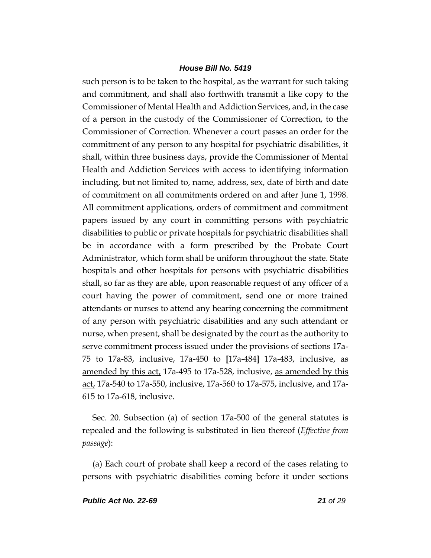such person is to be taken to the hospital, as the warrant for such taking and commitment, and shall also forthwith transmit a like copy to the Commissioner of Mental Health and Addiction Services, and, in the case of a person in the custody of the Commissioner of Correction, to the Commissioner of Correction. Whenever a court passes an order for the commitment of any person to any hospital for psychiatric disabilities, it shall, within three business days, provide the Commissioner of Mental Health and Addiction Services with access to identifying information including, but not limited to, name, address, sex, date of birth and date of commitment on all commitments ordered on and after June 1, 1998. All commitment applications, orders of commitment and commitment papers issued by any court in committing persons with psychiatric disabilities to public or private hospitals for psychiatric disabilities shall be in accordance with a form prescribed by the Probate Court Administrator, which form shall be uniform throughout the state. State hospitals and other hospitals for persons with psychiatric disabilities shall, so far as they are able, upon reasonable request of any officer of a court having the power of commitment, send one or more trained attendants or nurses to attend any hearing concerning the commitment of any person with psychiatric disabilities and any such attendant or nurse, when present, shall be designated by the court as the authority to serve commitment process issued under the provisions of sections 17a-75 to 17a-83, inclusive, 17a-450 to **[**17a-484**]** 17a-483, inclusive, as amended by this act, 17a-495 to 17a-528, inclusive, as amended by this act, 17a-540 to 17a-550, inclusive, 17a-560 to 17a-575, inclusive, and 17a-615 to 17a-618, inclusive.

Sec. 20. Subsection (a) of section 17a-500 of the general statutes is repealed and the following is substituted in lieu thereof (*Effective from passage*):

(a) Each court of probate shall keep a record of the cases relating to persons with psychiatric disabilities coming before it under sections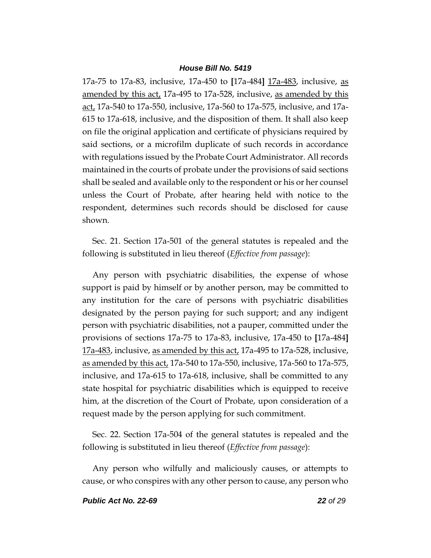17a-75 to 17a-83, inclusive, 17a-450 to **[**17a-484**]** 17a-483, inclusive, as amended by this act, 17a-495 to 17a-528, inclusive, as amended by this act, 17a-540 to 17a-550, inclusive, 17a-560 to 17a-575, inclusive, and 17a-615 to 17a-618, inclusive, and the disposition of them. It shall also keep on file the original application and certificate of physicians required by said sections, or a microfilm duplicate of such records in accordance with regulations issued by the Probate Court Administrator. All records maintained in the courts of probate under the provisions of said sections shall be sealed and available only to the respondent or his or her counsel unless the Court of Probate, after hearing held with notice to the respondent, determines such records should be disclosed for cause shown.

Sec. 21. Section 17a-501 of the general statutes is repealed and the following is substituted in lieu thereof (*Effective from passage*):

Any person with psychiatric disabilities, the expense of whose support is paid by himself or by another person, may be committed to any institution for the care of persons with psychiatric disabilities designated by the person paying for such support; and any indigent person with psychiatric disabilities, not a pauper, committed under the provisions of sections 17a-75 to 17a-83, inclusive, 17a-450 to **[**17a-484**]** 17a-483, inclusive, as amended by this act, 17a-495 to 17a-528, inclusive, as amended by this act, 17a-540 to 17a-550, inclusive, 17a-560 to 17a-575, inclusive, and 17a-615 to 17a-618, inclusive, shall be committed to any state hospital for psychiatric disabilities which is equipped to receive him, at the discretion of the Court of Probate, upon consideration of a request made by the person applying for such commitment.

Sec. 22. Section 17a-504 of the general statutes is repealed and the following is substituted in lieu thereof (*Effective from passage*):

Any person who wilfully and maliciously causes, or attempts to cause, or who conspires with any other person to cause, any person who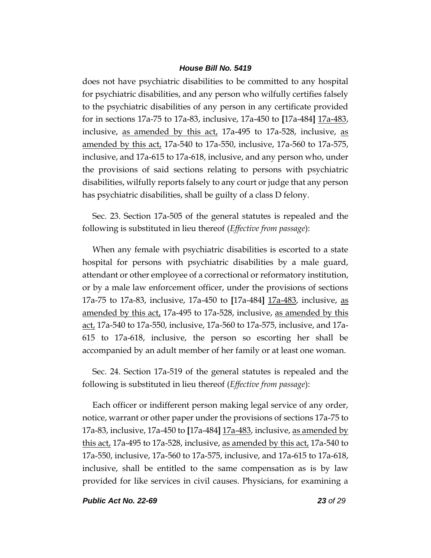does not have psychiatric disabilities to be committed to any hospital for psychiatric disabilities, and any person who wilfully certifies falsely to the psychiatric disabilities of any person in any certificate provided for in sections 17a-75 to 17a-83, inclusive, 17a-450 to **[**17a-484**]** 17a-483, inclusive, as amended by this act, 17a-495 to 17a-528, inclusive, as amended by this act, 17a-540 to 17a-550, inclusive, 17a-560 to 17a-575, inclusive, and 17a-615 to 17a-618, inclusive, and any person who, under the provisions of said sections relating to persons with psychiatric disabilities, wilfully reports falsely to any court or judge that any person has psychiatric disabilities, shall be guilty of a class D felony.

Sec. 23. Section 17a-505 of the general statutes is repealed and the following is substituted in lieu thereof (*Effective from passage*):

When any female with psychiatric disabilities is escorted to a state hospital for persons with psychiatric disabilities by a male guard, attendant or other employee of a correctional or reformatory institution, or by a male law enforcement officer, under the provisions of sections 17a-75 to 17a-83, inclusive, 17a-450 to **[**17a-484**]** 17a-483, inclusive, as amended by this act, 17a-495 to 17a-528, inclusive, as amended by this act, 17a-540 to 17a-550, inclusive, 17a-560 to 17a-575, inclusive, and 17a-615 to 17a-618, inclusive, the person so escorting her shall be accompanied by an adult member of her family or at least one woman.

Sec. 24. Section 17a-519 of the general statutes is repealed and the following is substituted in lieu thereof (*Effective from passage*):

Each officer or indifferent person making legal service of any order, notice, warrant or other paper under the provisions of sections 17a-75 to 17a-83, inclusive, 17a-450 to **[**17a-484**]** 17a-483, inclusive, as amended by this act, 17a-495 to 17a-528, inclusive, as amended by this act, 17a-540 to 17a-550, inclusive, 17a-560 to 17a-575, inclusive, and 17a-615 to 17a-618, inclusive, shall be entitled to the same compensation as is by law provided for like services in civil causes. Physicians, for examining a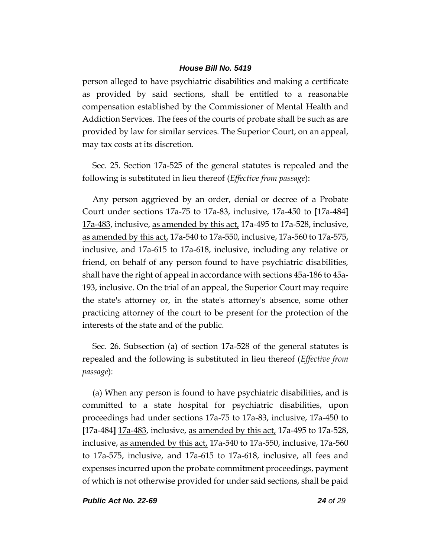person alleged to have psychiatric disabilities and making a certificate as provided by said sections, shall be entitled to a reasonable compensation established by the Commissioner of Mental Health and Addiction Services. The fees of the courts of probate shall be such as are provided by law for similar services. The Superior Court, on an appeal, may tax costs at its discretion.

Sec. 25. Section 17a-525 of the general statutes is repealed and the following is substituted in lieu thereof (*Effective from passage*):

Any person aggrieved by an order, denial or decree of a Probate Court under sections 17a-75 to 17a-83, inclusive, 17a-450 to **[**17a-484**]** 17a-483, inclusive, as amended by this act, 17a-495 to 17a-528, inclusive, as amended by this act, 17a-540 to 17a-550, inclusive, 17a-560 to 17a-575, inclusive, and 17a-615 to 17a-618, inclusive, including any relative or friend, on behalf of any person found to have psychiatric disabilities, shall have the right of appeal in accordance with sections 45a-186 to 45a-193, inclusive. On the trial of an appeal, the Superior Court may require the state's attorney or, in the state's attorney's absence, some other practicing attorney of the court to be present for the protection of the interests of the state and of the public.

Sec. 26. Subsection (a) of section 17a-528 of the general statutes is repealed and the following is substituted in lieu thereof (*Effective from passage*):

(a) When any person is found to have psychiatric disabilities, and is committed to a state hospital for psychiatric disabilities, upon proceedings had under sections 17a-75 to 17a-83, inclusive, 17a-450 to **[**17a-484**]** 17a-483, inclusive, as amended by this act, 17a-495 to 17a-528, inclusive, as amended by this act, 17a-540 to 17a-550, inclusive, 17a-560 to 17a-575, inclusive, and 17a-615 to 17a-618, inclusive, all fees and expenses incurred upon the probate commitment proceedings, payment of which is not otherwise provided for under said sections, shall be paid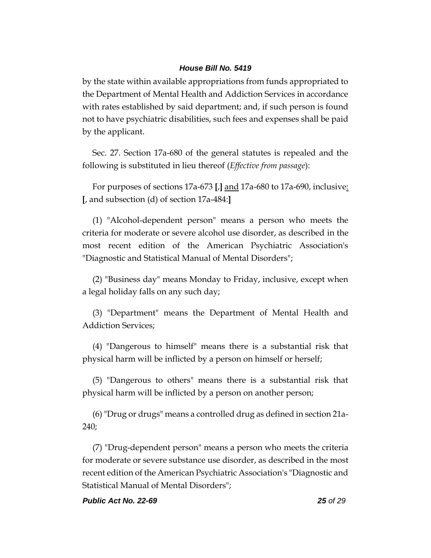by the state within available appropriations from funds appropriated to the Department of Mental Health and Addiction Services in accordance with rates established by said department; and, if such person is found not to have psychiatric disabilities, such fees and expenses shall be paid by the applicant.

Sec. 27. Section 17a-680 of the general statutes is repealed and the following is substituted in lieu thereof (*Effective from passage*):

For purposes of sections 17a-673 **[**,**]** and 17a-680 to 17a-690, inclusive: **[**, and subsection (d) of section 17a-484:**]**

(1) "Alcohol-dependent person" means a person who meets the criteria for moderate or severe alcohol use disorder, as described in the most recent edition of the American Psychiatric Association's "Diagnostic and Statistical Manual of Mental Disorders";

(2) "Business day" means Monday to Friday, inclusive, except when a legal holiday falls on any such day;

(3) "Department" means the Department of Mental Health and Addiction Services;

(4) "Dangerous to himself" means there is a substantial risk that physical harm will be inflicted by a person on himself or herself;

(5) "Dangerous to others" means there is a substantial risk that physical harm will be inflicted by a person on another person;

(6) "Drug or drugs" means a controlled drug as defined in section 21a-240;

(7) "Drug-dependent person" means a person who meets the criteria for moderate or severe substance use disorder, as described in the most recent edition of the American Psychiatric Association's "Diagnostic and Statistical Manual of Mental Disorders";

#### *Public Act No. 22-69 25 of 29*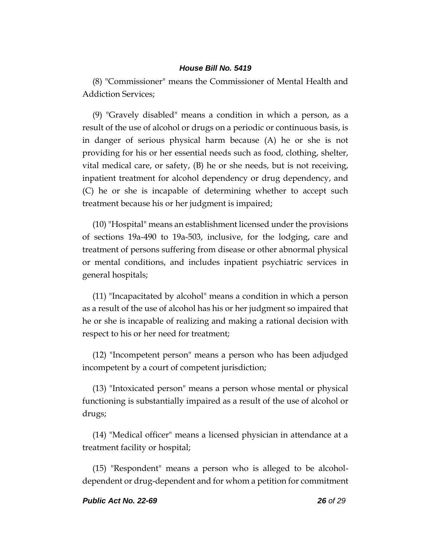(8) "Commissioner" means the Commissioner of Mental Health and Addiction Services;

(9) "Gravely disabled" means a condition in which a person, as a result of the use of alcohol or drugs on a periodic or continuous basis, is in danger of serious physical harm because (A) he or she is not providing for his or her essential needs such as food, clothing, shelter, vital medical care, or safety, (B) he or she needs, but is not receiving, inpatient treatment for alcohol dependency or drug dependency, and (C) he or she is incapable of determining whether to accept such treatment because his or her judgment is impaired;

(10) "Hospital" means an establishment licensed under the provisions of sections 19a-490 to 19a-503, inclusive, for the lodging, care and treatment of persons suffering from disease or other abnormal physical or mental conditions, and includes inpatient psychiatric services in general hospitals;

(11) "Incapacitated by alcohol" means a condition in which a person as a result of the use of alcohol has his or her judgment so impaired that he or she is incapable of realizing and making a rational decision with respect to his or her need for treatment;

(12) "Incompetent person" means a person who has been adjudged incompetent by a court of competent jurisdiction;

(13) "Intoxicated person" means a person whose mental or physical functioning is substantially impaired as a result of the use of alcohol or drugs;

(14) "Medical officer" means a licensed physician in attendance at a treatment facility or hospital;

(15) "Respondent" means a person who is alleged to be alcoholdependent or drug-dependent and for whom a petition for commitment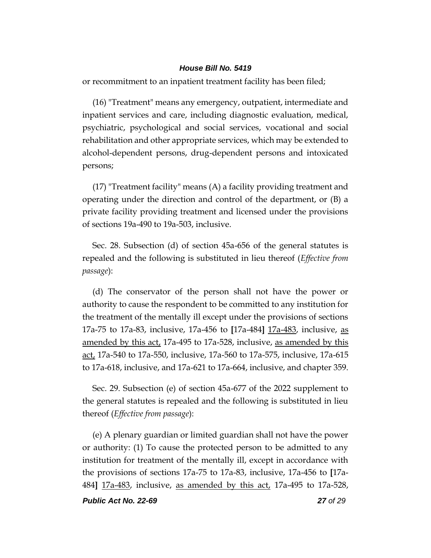or recommitment to an inpatient treatment facility has been filed;

(16) "Treatment" means any emergency, outpatient, intermediate and inpatient services and care, including diagnostic evaluation, medical, psychiatric, psychological and social services, vocational and social rehabilitation and other appropriate services, which may be extended to alcohol-dependent persons, drug-dependent persons and intoxicated persons;

(17) "Treatment facility" means (A) a facility providing treatment and operating under the direction and control of the department, or (B) a private facility providing treatment and licensed under the provisions of sections 19a-490 to 19a-503, inclusive.

Sec. 28. Subsection (d) of section 45a-656 of the general statutes is repealed and the following is substituted in lieu thereof (*Effective from passage*):

(d) The conservator of the person shall not have the power or authority to cause the respondent to be committed to any institution for the treatment of the mentally ill except under the provisions of sections 17a-75 to 17a-83, inclusive, 17a-456 to **[**17a-484**]** 17a-483, inclusive, as amended by this act, 17a-495 to 17a-528, inclusive, as amended by this act, 17a-540 to 17a-550, inclusive, 17a-560 to 17a-575, inclusive, 17a-615 to 17a-618, inclusive, and 17a-621 to 17a-664, inclusive, and chapter 359.

Sec. 29. Subsection (e) of section 45a-677 of the 2022 supplement to the general statutes is repealed and the following is substituted in lieu thereof (*Effective from passage*):

(e) A plenary guardian or limited guardian shall not have the power or authority: (1) To cause the protected person to be admitted to any institution for treatment of the mentally ill, except in accordance with the provisions of sections 17a-75 to 17a-83, inclusive, 17a-456 to **[**17a-484**]** 17a-483, inclusive, as amended by this act, 17a-495 to 17a-528,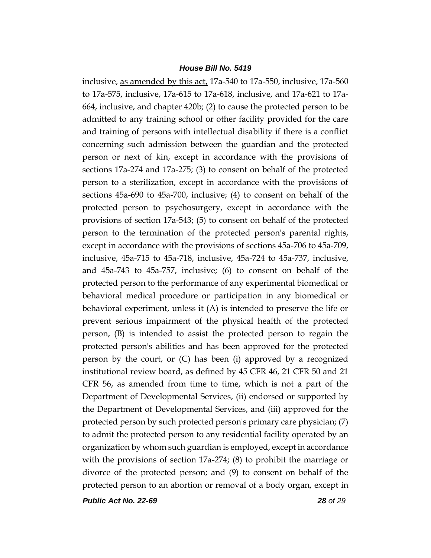inclusive, as amended by this act, 17a-540 to 17a-550, inclusive, 17a-560 to 17a-575, inclusive, 17a-615 to 17a-618, inclusive, and 17a-621 to 17a-664, inclusive, and chapter 420b; (2) to cause the protected person to be admitted to any training school or other facility provided for the care and training of persons with intellectual disability if there is a conflict concerning such admission between the guardian and the protected person or next of kin, except in accordance with the provisions of sections 17a-274 and 17a-275; (3) to consent on behalf of the protected person to a sterilization, except in accordance with the provisions of sections 45a-690 to 45a-700, inclusive; (4) to consent on behalf of the protected person to psychosurgery, except in accordance with the provisions of section 17a-543; (5) to consent on behalf of the protected person to the termination of the protected person's parental rights, except in accordance with the provisions of sections 45a-706 to 45a-709, inclusive, 45a-715 to 45a-718, inclusive, 45a-724 to 45a-737, inclusive, and 45a-743 to 45a-757, inclusive; (6) to consent on behalf of the protected person to the performance of any experimental biomedical or behavioral medical procedure or participation in any biomedical or behavioral experiment, unless it (A) is intended to preserve the life or prevent serious impairment of the physical health of the protected person, (B) is intended to assist the protected person to regain the protected person's abilities and has been approved for the protected person by the court, or (C) has been (i) approved by a recognized institutional review board, as defined by 45 CFR 46, 21 CFR 50 and 21 CFR 56, as amended from time to time, which is not a part of the Department of Developmental Services, (ii) endorsed or supported by the Department of Developmental Services, and (iii) approved for the protected person by such protected person's primary care physician; (7) to admit the protected person to any residential facility operated by an organization by whom such guardian is employed, except in accordance with the provisions of section 17a-274; (8) to prohibit the marriage or divorce of the protected person; and (9) to consent on behalf of the protected person to an abortion or removal of a body organ, except in

*Public Act No. 22-69 28 of 29*